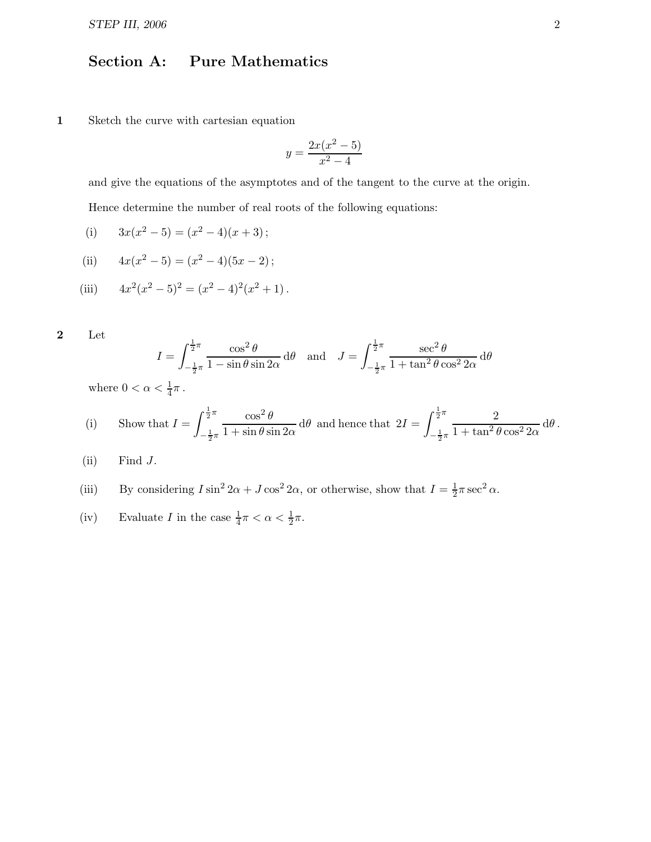## Section A: Pure Mathematics

1 Sketch the curve with cartesian equation

$$
y = \frac{2x(x^2 - 5)}{x^2 - 4}
$$

and give the equations of the asymptotes and of the tangent to the curve at the origin. Hence determine the number of real roots of the following equations:

(i) 
$$
3x(x^2-5) = (x^2-4)(x+3);
$$

(ii) 
$$
4x(x^2-5) = (x^2-4)(5x-2);
$$

(iii) 
$$
4x^2(x^2-5)^2 = (x^2-4)^2(x^2+1).
$$

2 Let

$$
I = \int_{-\frac{1}{2}\pi}^{\frac{1}{2}\pi} \frac{\cos^2 \theta}{1 - \sin \theta \sin 2\alpha} d\theta \text{ and } J = \int_{-\frac{1}{2}\pi}^{\frac{1}{2}\pi} \frac{\sec^2 \theta}{1 + \tan^2 \theta \cos^2 2\alpha} d\theta
$$

where  $0 < \alpha < \frac{1}{4}\pi$ .

(i) Show that 
$$
I = \int_{-\frac{1}{2}\pi}^{\frac{1}{2}\pi} \frac{\cos^2 \theta}{1 + \sin \theta \sin 2\alpha} d\theta
$$
 and hence that 
$$
2I = \int_{-\frac{1}{2}\pi}^{\frac{1}{2}\pi} \frac{2}{1 + \tan^2 \theta \cos^2 2\alpha} d\theta.
$$

 $(ii)$  Find  $J$ .

(iii) By considering 
$$
I \sin^2 2\alpha + J \cos^2 2\alpha
$$
, or otherwise, show that  $I = \frac{1}{2}\pi \sec^2 \alpha$ .

(iv) Evaluate I in the case 
$$
\frac{1}{4}\pi < \alpha < \frac{1}{2}\pi
$$
.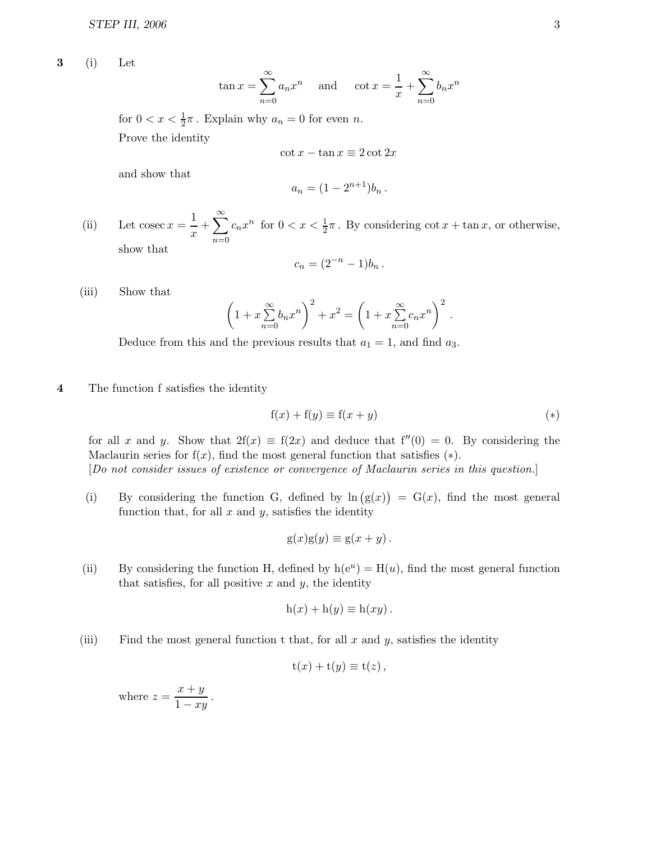3 (i) Let

$$
\tan x = \sum_{n=0}^{\infty} a_n x^n
$$
 and  $\cot x = \frac{1}{x} + \sum_{n=0}^{\infty} b_n x^n$ 

for  $0 < x < \frac{1}{2}\pi$ . Explain why  $a_n = 0$  for even n. Prove the identity

$$
\cot x - \tan x \equiv 2 \cot 2x
$$

and show that

$$
a_n = (1 - 2^{n+1})b_n.
$$

(ii) Let cosec  $x = \frac{1}{x}$  $\frac{1}{x} + \sum_{n=0}^{\infty}$  $\overline{n=0}$  $c_n x^n$  for  $0 < x < \frac{1}{2}\pi$ . By considering  $\cot x + \tan x$ , or otherwise, show that

$$
c_n = (2^{-n} - 1)b_n.
$$

(iii) Show that

$$
\left(1 + x\sum_{n=0}^{\infty} b_n x^n\right)^2 + x^2 = \left(1 + x\sum_{n=0}^{\infty} c_n x^n\right)^2.
$$

Deduce from this and the previous results that  $a_1 = 1$ , and find  $a_3$ .

## 4 The function f satisfies the identity

$$
f(x) + f(y) \equiv f(x + y) \tag{*}
$$

for all x and y. Show that  $2f(x) \equiv f(2x)$  and deduce that  $f''(0) = 0$ . By considering the Maclaurin series for  $f(x)$ , find the most general function that satisfies  $(*)$ . [Do not consider issues of existence or convergence of Maclaurin series in this question.]

(i) By considering the function G, defined by  $\ln(g(x)) = G(x)$ , find the most general function that, for all  $x$  and  $y$ , satisfies the identity

$$
g(x)g(y) \equiv g(x+y).
$$

(ii) By considering the function H, defined by  $h(e^u) = H(u)$ , find the most general function that satisfies, for all positive  $x$  and  $y$ , the identity

$$
h(x) + h(y) \equiv h(xy).
$$

(iii) Find the most general function t that, for all  $x$  and  $y$ , satisfies the identity

$$
t(x) + t(y) \equiv t(z),
$$

where  $z = \frac{x+y}{1}$  $\frac{z-y}{1-xy}$ .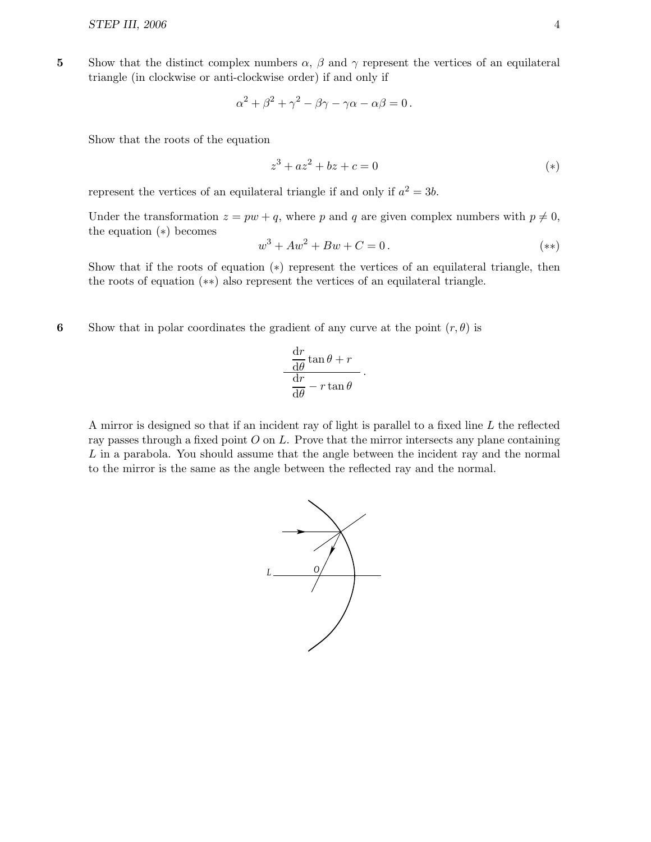5 Show that the distinct complex numbers  $\alpha$ ,  $\beta$  and  $\gamma$  represent the vertices of an equilateral triangle (in clockwise or anti-clockwise order) if and only if

$$
\alpha^2 + \beta^2 + \gamma^2 - \beta\gamma - \gamma\alpha - \alpha\beta = 0.
$$

Show that the roots of the equation

$$
z^3 + az^2 + bz + c = 0
$$
 (\*)

represent the vertices of an equilateral triangle if and only if  $a^2 = 3b$ .

Under the transformation  $z = pw + q$ , where p and q are given complex numbers with  $p \neq 0$ , the equation (∗) becomes

$$
w^3 + Aw^2 + Bw + C = 0.
$$
 (\*)

Show that if the roots of equation (\*) represent the vertices of an equilateral triangle, then the roots of equation (∗∗) also represent the vertices of an equilateral triangle.

6 Show that in polar coordinates the gradient of any curve at the point  $(r, \theta)$  is

$$
\frac{\frac{\mathrm{d}r}{\mathrm{d}\theta}\tan\theta + r}{\frac{\mathrm{d}r}{\mathrm{d}\theta} - r\tan\theta}.
$$

A mirror is designed so that if an incident ray of light is parallel to a fixed line L the reflected ray passes through a fixed point  $O$  on  $L$ . Prove that the mirror intersects any plane containing L in a parabola. You should assume that the angle between the incident ray and the normal to the mirror is the same as the angle between the reflected ray and the normal.

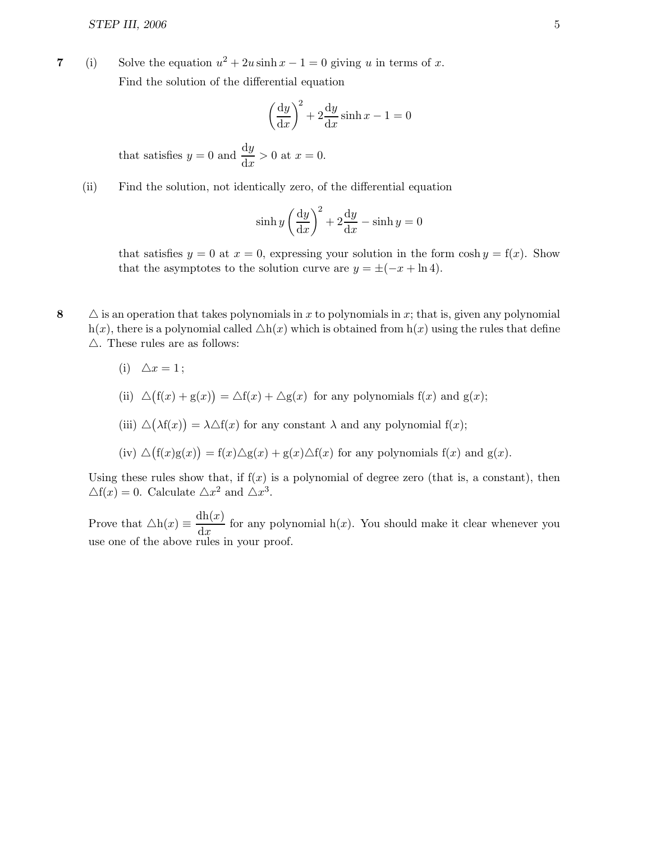7 (i) Solve the equation  $u^2 + 2u \sinh x - 1 = 0$  giving u in terms of x. Find the solution of the differential equation

$$
\left(\frac{\mathrm{d}y}{\mathrm{d}x}\right)^2 + 2\frac{\mathrm{d}y}{\mathrm{d}x}\sinh x - 1 = 0
$$

that satisfies  $y = 0$  and  $\frac{dy}{dx} > 0$  at  $x = 0$ .

(ii) Find the solution, not identically zero, of the differential equation

$$
\sinh y \left(\frac{dy}{dx}\right)^2 + 2\frac{dy}{dx} - \sinh y = 0
$$

that satisfies  $y = 0$  at  $x = 0$ , expressing your solution in the form  $\cosh y = f(x)$ . Show that the asymptotes to the solution curve are  $y = \pm(-x + \ln 4)$ .

- 8  $\Delta$  is an operation that takes polynomials in x to polynomials in x; that is, given any polynomial h(x), there is a polynomial called  $\Delta h(x)$  which is obtained from  $h(x)$  using the rules that define  $\triangle$ . These rules are as follows:
	- (i)  $\Delta x = 1$ ;
	- (ii)  $\Delta(f(x) + g(x)) = \Delta f(x) + \Delta g(x)$  for any polynomials  $f(x)$  and  $g(x)$ ;
	- (iii)  $\Delta(\lambda f(x)) = \lambda \Delta f(x)$  for any constant  $\lambda$  and any polynomial  $f(x)$ ;
	- $(iv) \triangle (f(x)g(x)) = f(x) \triangle g(x) + g(x) \triangle f(x)$  for any polynomials  $f(x)$  and  $g(x)$ .

Using these rules show that, if  $f(x)$  is a polynomial of degree zero (that is, a constant), then  $\triangle f(x) = 0$ . Calculate  $\triangle x^2$  and  $\triangle x^3$ .

Prove that  $\Delta h(x) \equiv \frac{dh(x)}{dx}$  $\frac{d\mathbf{x} + d\mathbf{x}}{dx}$  for any polynomial h(x). You should make it clear whenever you use one of the above rules in your proof.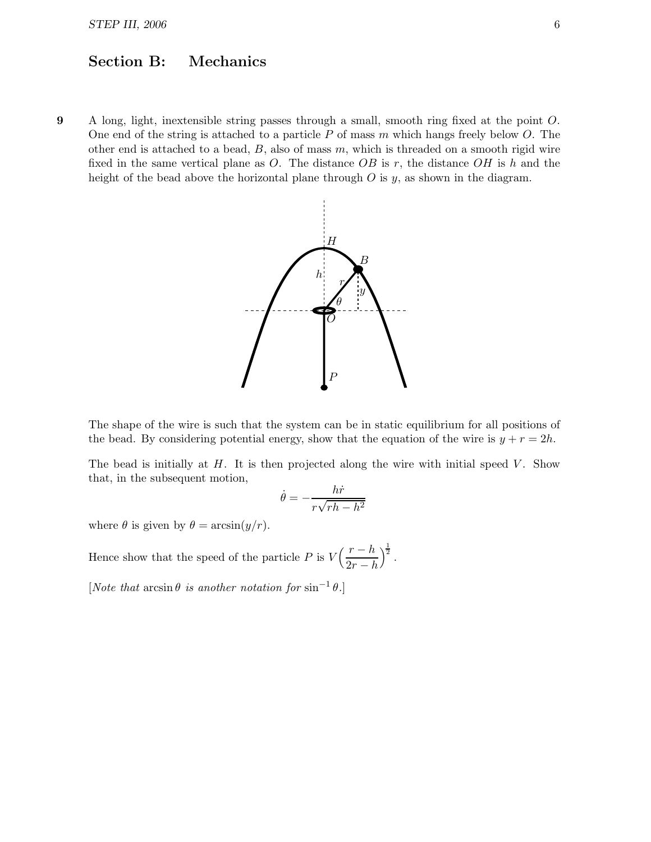## Section B: Mechanics

9 A long, light, inextensible string passes through a small, smooth ring fixed at the point O. One end of the string is attached to a particle  $P$  of mass  $m$  which hangs freely below  $O$ . The other end is attached to a bead,  $B$ , also of mass  $m$ , which is threaded on a smooth rigid wire fixed in the same vertical plane as O. The distance  $OB$  is r, the distance  $OH$  is h and the height of the bead above the horizontal plane through  $O$  is  $y$ , as shown in the diagram.



The shape of the wire is such that the system can be in static equilibrium for all positions of the bead. By considering potential energy, show that the equation of the wire is  $y + r = 2h$ .

The bead is initially at  $H$ . It is then projected along the wire with initial speed  $V$ . Show that, in the subsequent motion,

$$
\dot{\theta} = -\frac{h\dot{r}}{r\sqrt{rh - h^2}}
$$

where  $\theta$  is given by  $\theta = \arcsin(y/r)$ .

Hence show that the speed of the particle P is  $V\left(\frac{r-h}{2\pi}\right)$  $2r-h$  $\big)^{\frac{1}{2}}$ .

[Note that  $\arcsin \theta$  is another notation for  $\sin^{-1} \theta$ .]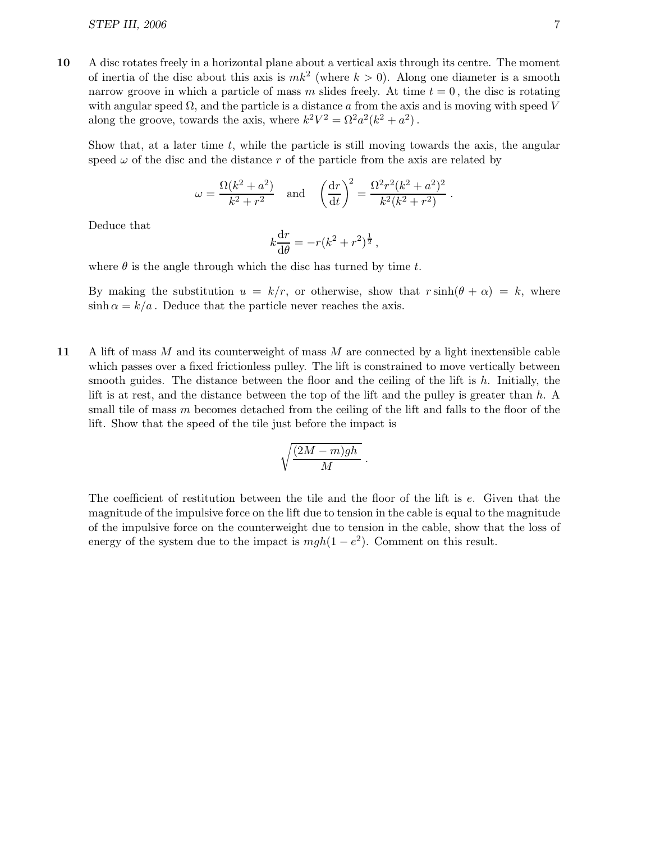10 A disc rotates freely in a horizontal plane about a vertical axis through its centre. The moment of inertia of the disc about this axis is  $mk^2$  (where  $k > 0$ ). Along one diameter is a smooth narrow groove in which a particle of mass m slides freely. At time  $t = 0$ , the disc is rotating with angular speed  $\Omega$ , and the particle is a distance a from the axis and is moving with speed V along the groove, towards the axis, where  $k^2V^2 = \Omega^2a^2(k^2 + a^2)$ .

Show that, at a later time  $t$ , while the particle is still moving towards the axis, the angular speed  $\omega$  of the disc and the distance r of the particle from the axis are related by

$$
\omega = \frac{\Omega(k^2 + a^2)}{k^2 + r^2}
$$
 and  $\left(\frac{dr}{dt}\right)^2 = \frac{\Omega^2 r^2 (k^2 + a^2)^2}{k^2 (k^2 + r^2)}$ .

Deduce that

$$
k\frac{\mathrm{d}r}{\mathrm{d}\theta} = -r(k^2 + r^2)^{\frac{1}{2}},
$$

where  $\theta$  is the angle through which the disc has turned by time t.

By making the substitution  $u = k/r$ , or otherwise, show that  $r \sinh(\theta + \alpha) = k$ , where  $\sinh \alpha = k/a$ . Deduce that the particle never reaches the axis.

11 A lift of mass  $M$  and its counterweight of mass  $M$  are connected by a light inextensible cable which passes over a fixed frictionless pulley. The lift is constrained to move vertically between smooth guides. The distance between the floor and the ceiling of the lift is  $h$ . Initially, the lift is at rest, and the distance between the top of the lift and the pulley is greater than h. A small tile of mass m becomes detached from the ceiling of the lift and falls to the floor of the lift. Show that the speed of the tile just before the impact is

$$
\sqrt{\frac{(2M-m)gh}{M}}.
$$

The coefficient of restitution between the tile and the floor of the lift is e. Given that the magnitude of the impulsive force on the lift due to tension in the cable is equal to the magnitude of the impulsive force on the counterweight due to tension in the cable, show that the loss of energy of the system due to the impact is  $mgh(1 - e^2)$ . Comment on this result.